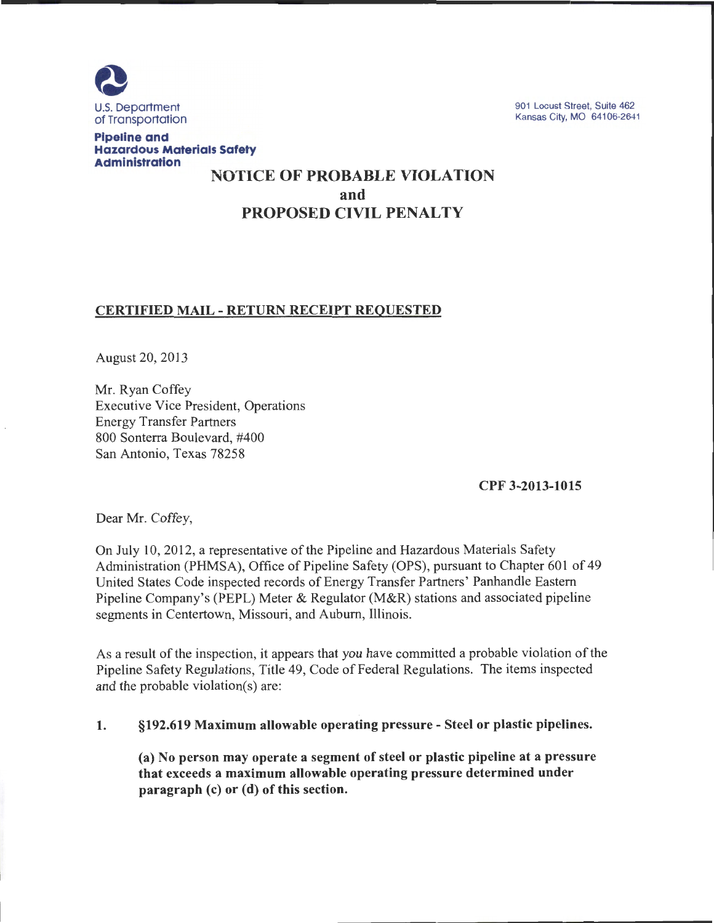

901 Locust Street, Suite 462 Kansas City, MO 64106-2641

Pipeline and Hazardous Materials Safety Administration

# NOTICE OF PROBABLE VIOLATION and PROPOSED CIVIL PENALTY

## CERTIFIED MAIL- RETURN RECEIPT REQUESTED

August 20, 2013

Mr. Ryan Coffey Executive Vice President, Operations Energy Transfer Partners 800 Sonterra Boulevard, #400 San Antonio, Texas 78258

CPF 3-2013-1015

Dear Mr. Coffey,

On July 10, 2012, a representative of the Pipeline and Hazardous Materials Safety Administration (PHMSA), Office of Pipeline Safety (OPS), pursuant to Chapter 601 of 49 United States Code inspected records of Energy Transfer Partners' Panhandle Eastern Pipeline Company's (PEPL) Meter & Regulator (M&R) stations and associated pipeline segments in Centertown, Missouri, and Auburn, Illinois.

As a result of the inspection, it appears that you have committed a probable violation of the Pipeline Safety Regulations, Title 49, Code of Federal Regulations. The items inspected and the probable violation(s) are:

#### 1. §192.619 Maximum allowable operating pressure- Steel or plastic pipelines.

(a) No person may operate a segment of steel or plastic pipeline at a pressure that exceeds a maximum allowable operating pressure determined under paragraph (c) or (d) of this section.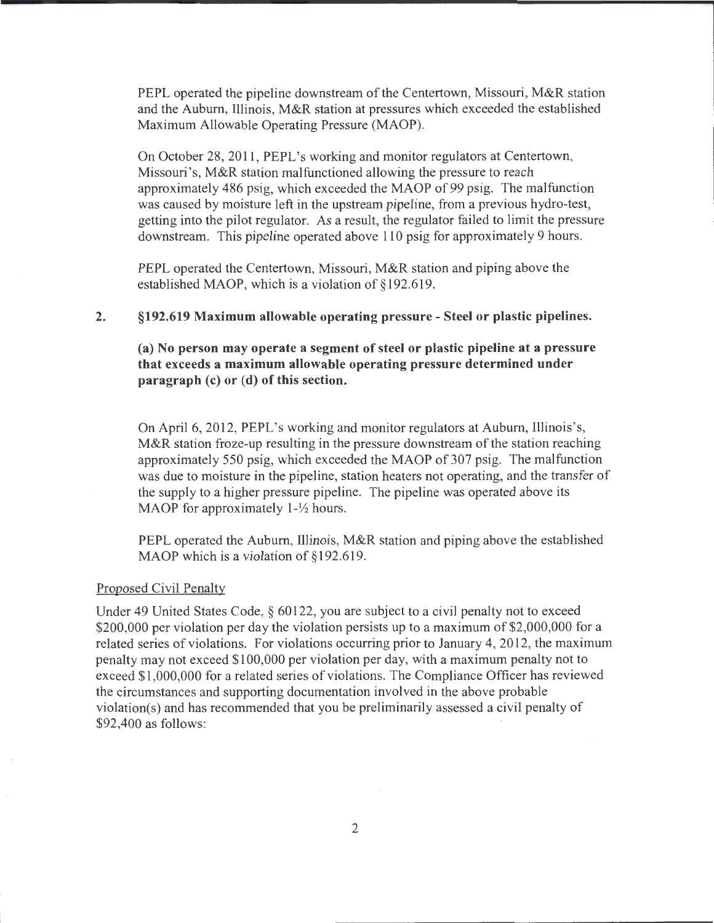PEPL operated the pipeline downstream of the Centertown, Missouri, M&R station and the Auburn, Illinois, M&R station at pressures which exceeded the established Maximum Allowable Operating Pressure (MAOP).

On October 28, 2011, PEPL's working and monitor regulators at Centertown, Missouri's, M&R station malfunctioned allowing the pressure to reach approximately 486 psig, which exceeded the MAOP of 99 psig. The malfunction was caused by moisture left in the upstream pipeline, from a previous hydro-test, getting into the pilot regulator. As a result, the regulator failed to limit the pressure downstream. This pipeline operated above 110 psig for approximately 9 hours.

PEPL operated the Centertown, Missouri, M&R station and piping above the established MAOP, which is a violation of §192.619.

#### 2. §192.619 Maximum allowable operating pressure- Steel or plastic pipelines.

(a) No person may operate a segment of steel or plastic pipeline at a pressure that exceeds a maximum allowable operating pressure determined under paragraph (c) or (d) of this section.

On April6, 2012, PEPL's working and monitor regulators at Auburn, Illinois's, M&R station froze-up resulting in the pressure downstream of the station reaching approximately 550 psig, which exceeded the MAOP of 307 psig. The malfunction was due to moisture in the pipeline, station heaters not operating, and the transfer of the supply to a higher pressure pipeline. The pipeline was operated above its MAOP for approximately  $1-\frac{1}{2}$  hours.

PEPL operated the Auburn, Illinois, M&R station and piping above the established MAOP which is a violation of §192.619.

#### Proposed Civil Penalty

Under 49 United States Code, § 60122, you are subject to a civil penalty not to exceed \$200,000 per violation per day the violation persists up to a maximum of \$2,000,000 for a related series of violations. For violations occurring prior to January 4, 2012, the maximum penalty may not exceed \$100,000 per violation per day, with a maximum penalty not to exceed \$1,000,000 for a related series of violations. The Compliance Officer has reviewed the circumstances and supporting documentation involved in the above probable violation(s) and has recommended that you be preliminarily assessed a civil penalty of \$92,400 as follows: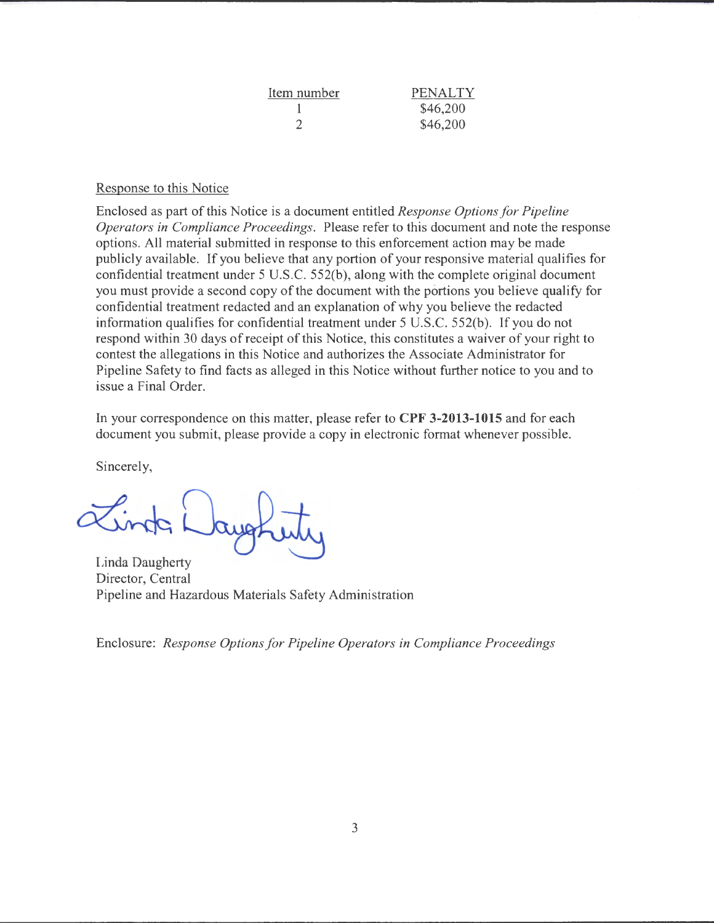| Item number                 | <b>PENALTY</b> |
|-----------------------------|----------------|
|                             | \$46,200       |
| $\mathcal{D}_{\mathcal{A}}$ | \$46,200       |

#### Response to this Notice

Enclosed as part of this Notice is a document entitled *Response Options for Pipeline Operators in Compliance Proceedings.* Please refer to this document and note the response options. All material submitted in response to this enforcement action may be made publicly available. If you believe that any portion of your responsive material qualifies for confidential treatment under 5 U.S.C. 552(b), along with the complete original document you must provide a second copy of the document with the portions you believe qualify for confidential treatment redacted and an explanation of why you believe the redacted information qualifies for confidential treatment under 5 U.S.C. 552(b). If you do not respond within 30 days of receipt of this Notice, this constitutes a waiver of your right to contest the allegations in this Notice and authorizes the Associate Administrator for Pipeline Safety to find facts as alleged in this Notice without further notice to you and to issue a Final Order.

In your correspondence on this matter, please refer to **CPF 3-2013-1015** and for each document you submit, please provide a copy in electronic format whenever possible.

Sincerely,

Linda Wayot

Linda Daugherty Director, Central Pipeline and Hazardous Materials Safety Administration

Enclosure: *Response Options for Pipeline Operators in Compliance Proceedings*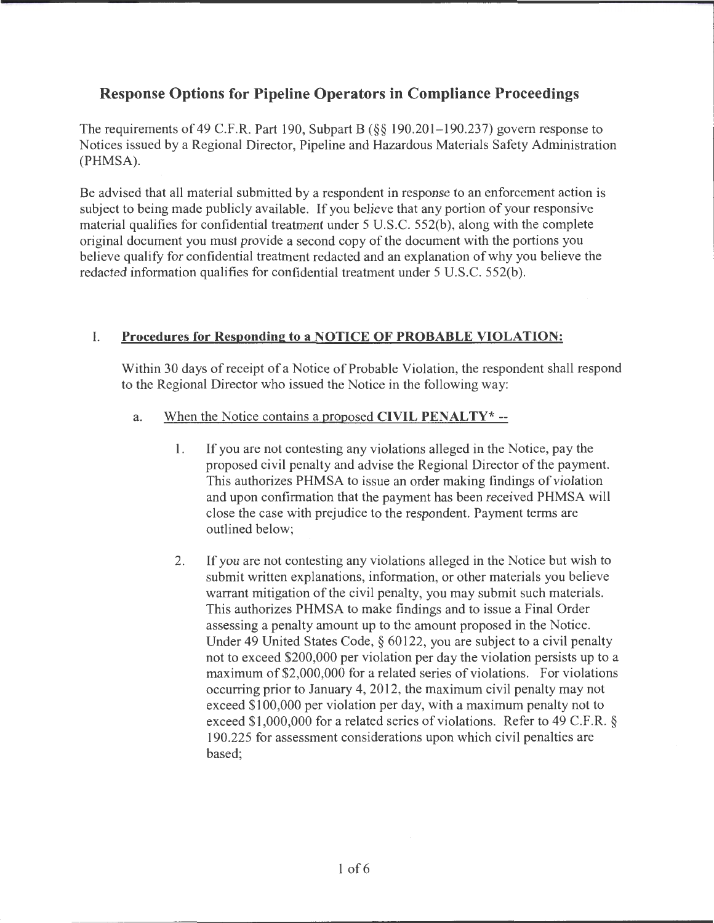# **Response Options for Pipeline Operators in Compliance Proceedings**

The requirements of 49 C.F.R. Part 190, Subpart B (§§ 190.201-190.237) govern response to Notices issued by a Regional Director, Pipeline and Hazardous Materials Safety Administration (PHMSA).

Be advised that all material submitted by a respondent in response to an enforcement action is subject to being made publicly available. If you believe that any portion of your responsive material qualifies for confidential treatment under 5 U.S.C. 552(b), along with the complete original document you must provide a second copy of the document with the portions you believe qualify for confidential treatment redacted and an explanation of why you believe the redacted information qualifies for confidential treatment under 5 U.S.C. 552(b).

# I. **Procedures for Responding; to a NOTICE OF PROBABLE VIOLATION:**

Within 30 days of receipt of a Notice of Probable Violation, the respondent shall respond to the Regional Director who issued the Notice in the following way:

- a. When the Notice contains a proposed **CIVIL PENALTY\*** --
	- 1. If you are not contesting any violations alleged in the Notice, pay the proposed civil penalty and advise the Regional Director of the payment. This authorizes PHMSA to issue an order making findings of violation and upon confirmation that the payment has been received PHMSA will close the case with prejudice to the respondent. Payment terms are outlined below;
	- 2. If you are not contesting any violations alleged in the Notice but wish to submit written explanations, information, or other materials you believe warrant mitigation of the civil penalty, you may submit such materials. This authorizes PHMSA to make findings and to issue a Final Order assessing a penalty amount up to the amount proposed in the Notice. Under 49 United States Code, § 60122, you are subject to a civil penalty not to exceed \$200,000 per violation per day the violation persists up to a maximum of\$2,000,000 for a related series of violations. For violations occurring prior to January 4, 2012, the maximum civil penalty may not exceed \$100,000 per violation per day, with a maximum penalty not to exceed \$1,000,000 for a related series of violations. Refer to 49 C.F.R. § 190.225 for assessment considerations upon which civil penalties are based;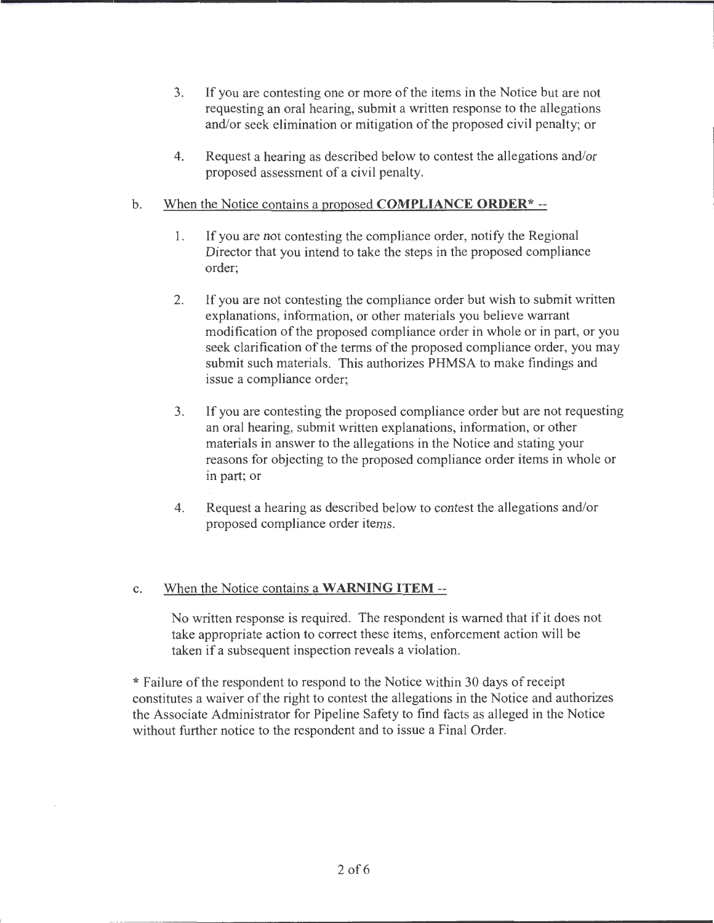- 3. If you are contesting one or more of the items in the Notice but are not requesting an oral hearing, submit a written response to the allegations and/or seek elimination or mitigation of the proposed civil penalty; or
- 4. Request a hearing as described below to contest the allegations and/or proposed assessment of a civil penalty.

## b. When the Notice contains a proposed **COMPLIANCE ORDER\*--**

- 1. If you are not contesting the compliance order, notify the Regional Director that you intend to take the steps in the proposed compliance order;
- 2. If you are not contesting the compliance order but wish to submit written explanations, information, or other materials you believe warrant modification of the proposed compliance order in whole or in part, or you seek clarification of the terms of the proposed compliance order, you may submit such materials. This authorizes PHMSA to make findings and issue a compliance order;
- 3. If you are contesting the proposed compliance order but are not requesting an oral hearing, submit written explanations, information, or other materials in answer to the allegations in the Notice and stating your reasons for objecting to the proposed compliance order items in whole or in part; or
- 4. Request a hearing as described below to contest the allegations and/or proposed compliance order items.

## c. When the Notice contains a **WARNING ITEM--**

No written response is required. The respondent is warned that if it does not take appropriate action to correct these items, enforcement action will be taken if a subsequent inspection reveals a violation.

\*Failure ofthe respondent to respond to the Notice within 30 days of receipt constitutes a waiver of the right to contest the allegations in the Notice and authorizes the Associate Administrator for Pipeline Safety to find facts as alleged in the Notice without further notice to the respondent and to issue a Final Order.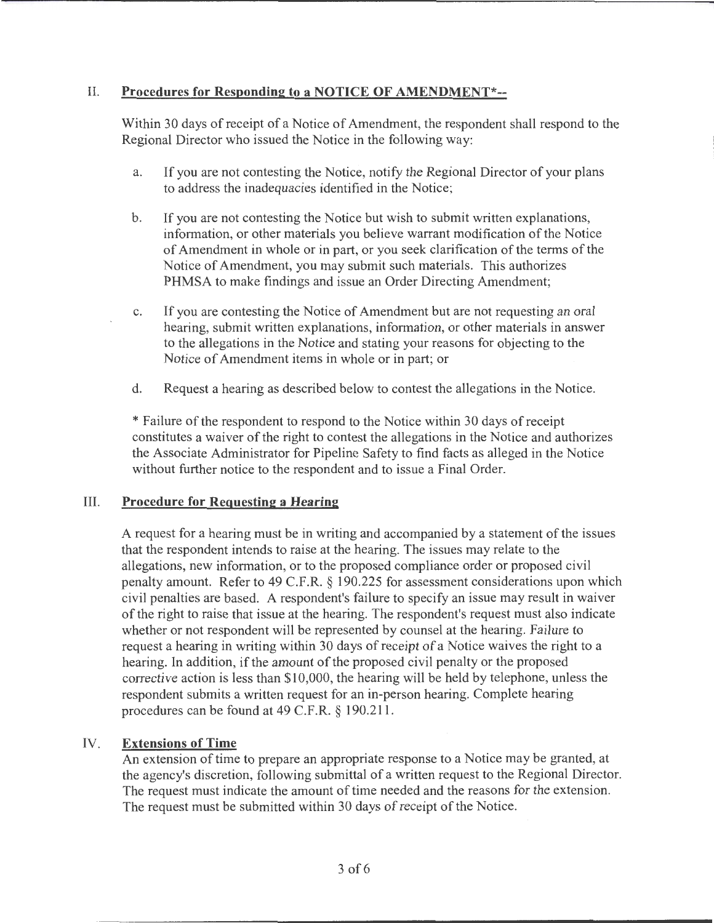## II. **Procedures for Responding to a NOTICE OF AMENDMENT\*--**

Within 30 days of receipt of a Notice of Amendment, the respondent shall respond to the Regional Director who issued the Notice in the following way:

- a. If you are not contesting the Notice, notify the Regional Director of your plans to address the inadequacies identified in the Notice;
- b. If you are not contesting the Notice but wish to submit written explanations, information, or other materials you believe warrant modification of the Notice of Amendment in whole or in part, or you seek clarification of the terms of the Notice of Amendment, you may submit such materials. This authorizes PHMSA to make findings and issue an Order Directing Amendment;
- c. If you are contesting the Notice of Amendment but are not requesting an oral hearing, submit written explanations, information, or other materials in answer to the allegations in the Notice and stating your reasons for objecting to the Notice of Amendment items in whole or in part; or
- d. Request a hearing as described below to contest the allegations in the Notice.

\* Failure of the respondent to respond to the Notice within 30 days of receipt constitutes a waiver of the right to contest the allegations in the Notice and authorizes the Associate Administrator for Pipeline Safety to find facts as alleged in the Notice without further notice to the respondent and to issue a Final Order.

## III. **Procedure for Requesting a Hearing**

A request for a hearing must be in writing and accompanied by a statement of the issues that the respondent intends to raise at the hearing. The issues may relate to the allegations, new information, or to the proposed compliance order or proposed civil penalty amount. Refer to 49 C.F.R. § 190.225 for assessment considerations upon which civil penalties are based. A respondent's failure to specify an issue may result in waiver of the right to raise that issue at the hearing. The respondent's request must also indicate whether or not respondent will be represented by counsel at the hearing. Failure to request a hearing in writing within 30 days of receipt of a Notice waives the right to a hearing. In addition, if the amount of the proposed civil penalty or the proposed corrective action is less than \$10,000, the hearing will be held by telephone, unless the respondent submits a written request for an in-person hearing. Complete hearing procedures can be found at 49 C.F.R. § 190.211.

# IV. **Extensions of Time**

An extension of time to prepare an appropriate response to a Notice may be granted, at the agency's discretion, following submittal of a written request to the Regional Director. The request must indicate the amount of time needed and the reasons for the extension. The request must be submitted within 30 days of receipt of the Notice.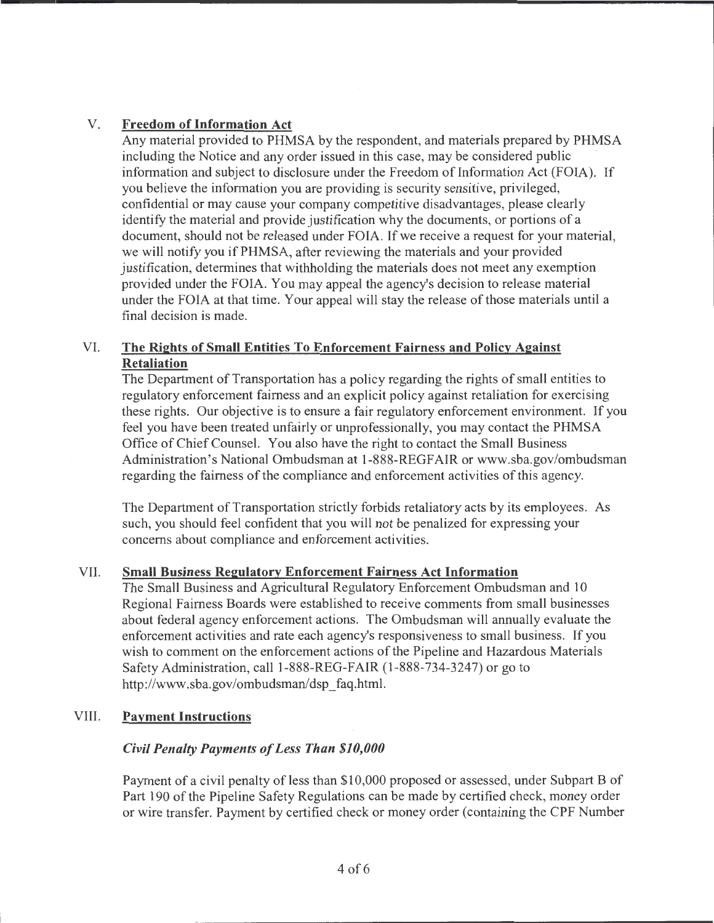# V. **Freedom of Information Act**

Any material provided to PHMSA by the respondent, and materials prepared by PHMSA including the Notice and any order issued in this case, may be considered public information and subject to disclosure under the Freedom of Information Act (FOIA). If you believe the information you are providing is security sensitive, privileged, confidential or may cause your company competitive disadvantages, please clearly identify the material and provide justification why the documents, or portions of a document, should not be released under FOIA. If we receive a request for your material, we will notify you if PHMSA, after reviewing the materials and your provided justification, determines that withholding the materials does not meet any exemption provided under the FOIA. You may appeal the agency's decision to release material under the FOIA at that time. Your appeal will stay the release of those materials until a final decision is made.

## VI. **The Rights of Small Entities To Enforcement Fairness and Policy Against Retaliation**

The Department of Transportation has a policy regarding the rights of small entities to regulatory enforcement fairness and an explicit policy against retaliation for exercising these rights. Our objective is to ensure a fair regulatory enforcement environment. If you feel you have been treated unfairly or unprofessionally, you may contact the PHMSA Office of Chief Counsel. You also have the right to contact the Small Business Administration's National Ombudsman at 1-888-REGFAIR or www.sba.gov/ombudsman regarding the fairness of the compliance and enforcement activities of this agency.

The Department of Transportation strictly forbids retaliatory acts by its employees. As such, you should feel confident that you will not be penalized for expressing your concerns about compliance and enforcement activities.

## VII. **Small Business Regulatory Enforcement Fairness Act Information**

The Small Business and Agricultural Regulatory Enforcement Ombudsman and 10 Regional Fairness Boards were established to receive comments from small businesses about federal agency enforcement actions. The Ombudsman will annually evaluate the enforcement activities and rate each agency's responsiveness to small business. If you wish to comment on the enforcement actions of the Pipeline and Hazardous Materials Safety Administration, call 1-888-REG-FAIR (1-888-734-3247) or go to http://www.sba.gov/ombudsman/dsp\_faq.html.

## VIII. **Payment Instructions**

# *Civil Penalty Payments of Less Than \$10,000*

Payment of a civil penalty of less than \$10,000 proposed or assessed, under Subpart B of Part 190 of the Pipeline Safety Regulations can be made by certified check, money order or wire transfer. Payment by certified check or money order (containing the CPF Number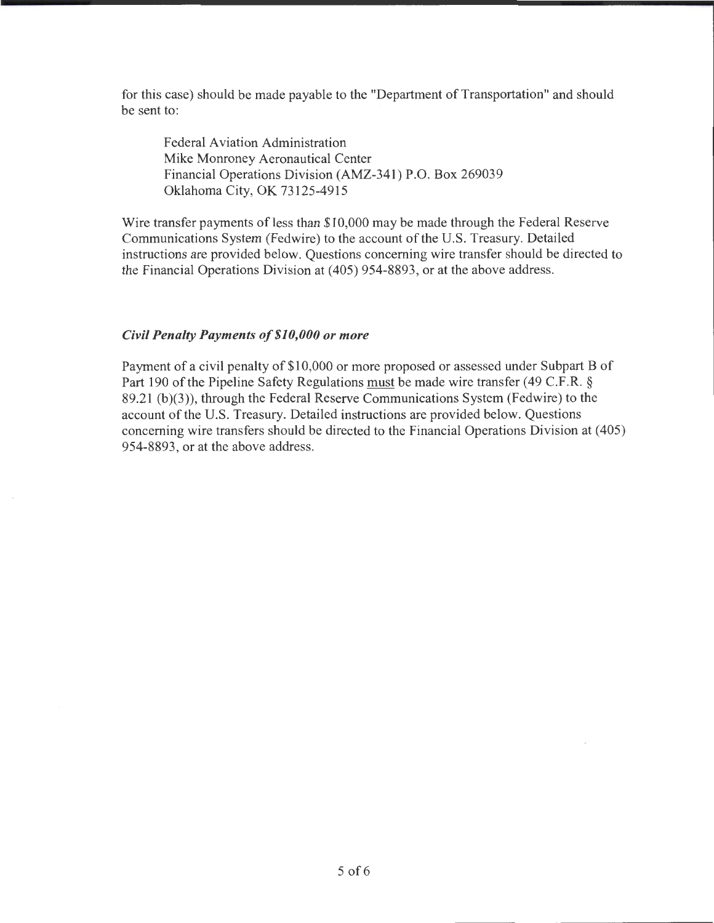for this case) should be made payable to the "Department of Transportation" and should be sent to:

Federal Aviation Administration Mike Monroney Aeronautical Center Financial Operations Division (AMZ-341) P.O. Box 269039 Oklahoma City, OK 73125-4915

Wire transfer payments of less than \$10,000 may be made through the Federal Reserve Communications System (Fedwire) to the account of the U.S. Treasury. Detailed instructions are provided below. Questions concerning wire transfer should be directed to the Financial Operations Division at (405) 954-8893, or at the above address.

#### *Civil Penalty Payments of\$10,000 or more*

Payment of a civil penalty of \$10,000 or more proposed or assessed under Subpart B of Part 190 of the Pipeline Safety Regulations must be made wire transfer (49 C.F.R. § 89.21 (b)(3)), through the Federal Reserve Communications System (Fedwire) to the account of the U.S. Treasury. Detailed instructions are provided below. Questions concerning wire transfers should be directed to the Financial Operations Division at ( 405) 954-8893, or at the above address.